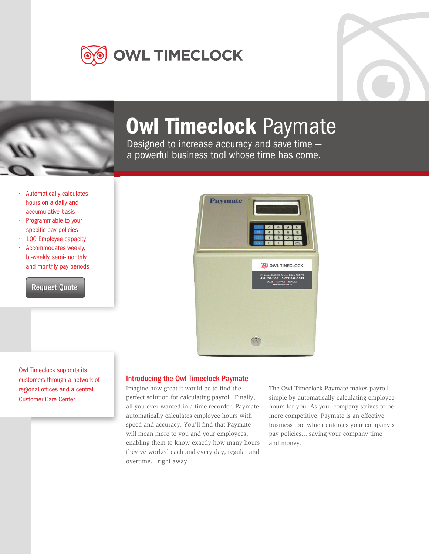





## Owl Timeclock Paymate

Designed to increase accuracy and save time a powerful business tool whose time has come.

- Automatically calculates hours on a daily and accumulative basis
- Programmable to your specific pay policies
- 100 Employee capacity • Accommodates weekly, bi-weekly, semi-monthly, and monthly pay periods

**[Request Quote](mailto:wayne@owltimeclock.ca)** 

Owl Timeclock supports its customers through a network of Customer Care Center. regional offices and a central

| <b>Paymate</b> |                                                                                                                                                          |
|----------------|----------------------------------------------------------------------------------------------------------------------------------------------------------|
|                | 8<br>9<br>н<br>ш<br>3                                                                                                                                    |
|                | O OWL TIMECLOCK<br>310 Judson St., Unit 6, Toronto, Ontario M82 5T6<br>416-252-1186   1-877-567-0633<br>SALES   SERVICE   RENTALS<br>www.cwitimeclock.ca |
|                |                                                                                                                                                          |
|                |                                                                                                                                                          |

### Introducing the Owl Timeclock Paymate

Imagine how great it would be to find the perfect solution for calculating payroll. Finally, all you ever wanted in a time recorder. Paymate automatically calculates employee hours with speed and accuracy. You'll find that Paymate will mean more to you and your employees, enabling them to know exactly how many hours they've worked each and every day, regular and overtime... right away.

The Owl Timeclock Paymate makes payroll simple by automatically calculating employee hours for you. As your company strives to be more competitive, Paymate is an effective business tool which enforces your company's pay policies... saving your company time and money.